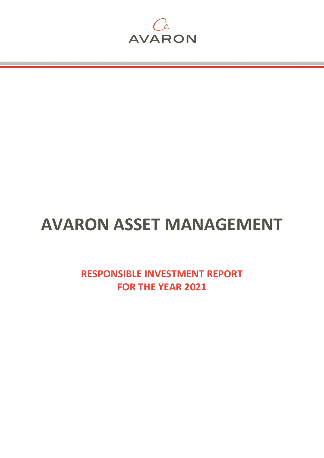

# **AVARON ASSET MANAGEMENT**

**RESPONSIBLE INVESTMENT REPORT FOR THE YEAR 2021**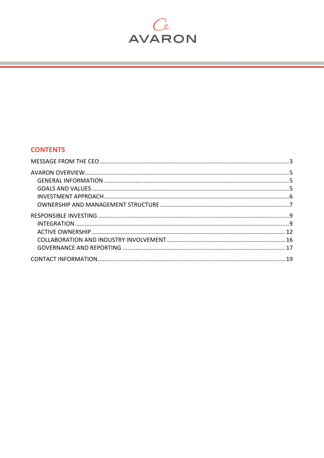

# **CONTENTS**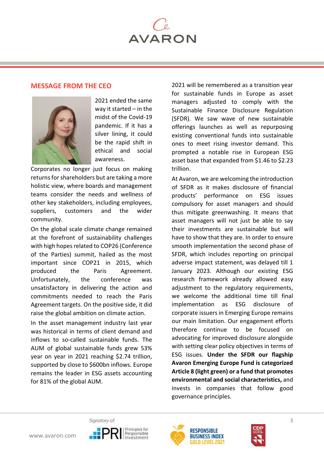

# <span id="page-2-0"></span>**MESSAGE FROM THE CEO**



2021 ended the same way it started – in the midst of the Covid-19 pandemic. If it has a silver lining, it could be the rapid shift in ethical and social awareness.

Corporates no longer just focus on making returns for shareholders but are taking a more holistic view, where boards and management teams consider the needs and wellness of other key stakeholders, including employees, suppliers, customers and the wider community.

On the global scale climate change remained at the forefront of sustainability challenges with high hopes related to COP26 (Conference of the Parties) summit, hailed as the most important since COP21 in 2015, which produced the Paris Agreement. Unfortunately, the conference was unsatisfactory in delivering the action and commitments needed to reach the Paris Agreement targets. On the positive side, it did raise the global ambition on climate action.

In the asset management industry last year was historical in terms of client demand and inflows to so-called sustainable funds. The AUM of global sustainable funds grew 53% year on year in 2021 reaching \$2.74 trillion, supported by close to \$600bn inflows. Europe remains the leader in ESG assets accounting for 81% of the global AUM.

2021 will be remembered as a transition year for sustainable funds in Europe as asset managers adjusted to comply with the Sustainable Finance Disclosure Regulation (SFDR). We saw wave of new sustainable offerings launches as well as repurposing existing conventional funds into sustainable ones to meet rising investor demand. This prompted a notable rise in European ESG asset base that expanded from \$1.46 to \$2.23 trillion.

At Avaron, we are welcoming the introduction of SFDR as it makes disclosure of financial products' performance on ESG issues compulsory for asset managers and should thus mitigate greenwashing. It means that asset managers will not just be able to say their investments are sustainable but will have to show that they are. In order to ensure smooth implementation the second phase of SFDR, which includes reporting on principal adverse impact statement, was delayed till 1 January 2023. Although our existing ESG research framework already allowed easy adjustment to the regulatory requirements, we welcome the additional time till final implementation as ESG disclosure of corporate issuers in Emerging Europe remains our main limitation. Our engagement efforts therefore continue to be focused on advocating for improved disclosure alongside with setting clear policy objectives in terms of ESG issues. **Under the SFDR our flagship Avaron Emerging Europe Fund is categorized Article 8 (light green) or a fund that promotes environmental and social characteristics,** and invests in companies that follow good governance principles.





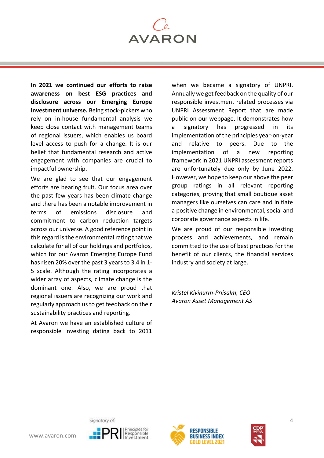

**In 2021 we continued our efforts to raise awareness on best ESG practices and disclosure across our Emerging Europe investment universe.** Being stock-pickers who rely on in-house fundamental analysis we keep close contact with management teams of regional issuers, which enables us board level access to push for a change. It is our belief that fundamental research and active engagement with companies are crucial to impactful ownership.

We are glad to see that our engagement efforts are bearing fruit. Our focus area over the past few years has been climate change and there has been a notable improvement in terms of emissions disclosure and commitment to carbon reduction targets across our universe. A good reference point in this regard is the environmental rating that we calculate for all of our holdings and portfolios, which for our Avaron Emerging Europe Fund has risen 20% over the past 3 years to 3.4 in 1- 5 scale. Although the rating incorporates a wider array of aspects, climate change is the dominant one. Also, we are proud that regional issuers are recognizing our work and regularly approach us to get feedback on their sustainability practices and reporting.

At Avaron we have an established culture of responsible investing dating back to 2011

when we became a signatory of UNPRI. Annually we get feedback on the quality of our responsible investment related processes via UNPRI Assessment Report that are made public on our webpage. It demonstrates how a signatory has progressed in its implementation of the principles year-on-year and relative to peers. Due to the implementation of a new reporting framework in 2021 UNPRI assessment reports are unfortunately due only by June 2022. However, we hope to keep our above the peer group ratings in all relevant reporting categories, proving that small boutique asset managers like ourselves can care and initiate a positive change in environmental, social and corporate governance aspects in life.

We are proud of our responsible investing process and achievements, and remain committed to the use of best practices for the benefit of our clients, the financial services industry and society at large.

*Kristel Kivinurm-Priisalm, CEO Avaron Asset Management AS*





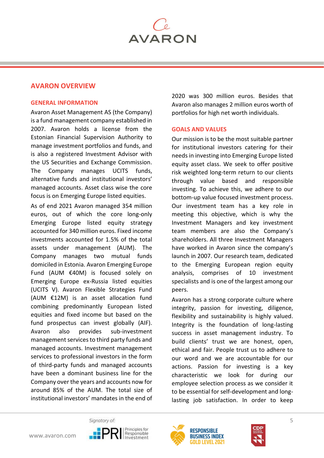

# <span id="page-4-0"></span>**AVARON OVERVIEW**

#### <span id="page-4-1"></span>**GENERAL INFORMATION**

Avaron Asset Management AS (the Company) is a fund management company established in 2007. Avaron holds a license from the Estonian Financial Supervision Authority to manage investment portfolios and funds, and is also a registered Investment Advisor with the US Securities and Exchange Commission. The Company manages UCITS funds, alternative funds and institutional investors' managed accounts. Asset class wise the core focus is on Emerging Europe listed equities.

As of end 2021 Avaron managed 354 million euros, out of which the core long-only Emerging Europe listed equity strategy accounted for 340 million euros. Fixed income investments accounted for 1.5% of the total assets under management (AUM). The Company manages two mutual funds domiciled in Estonia. Avaron Emerging Europe Fund (AUM €40M) is focused solely on Emerging Europe ex-Russia listed equities (UCITS V). Avaron Flexible Strategies Fund (AUM €12M) is an asset allocation fund combining predominantly European listed equities and fixed income but based on the fund prospectus can invest globally (AIF). Avaron also provides sub-investment management services to third party funds and managed accounts. Investment management services to professional investors in the form of third-party funds and managed accounts have been a dominant business line for the Company over the years and accounts now for around 85% of the AUM. The total size of institutional investors' mandates in the end of 2020 was 300 million euros. Besides that Avaron also manages 2 million euros worth of portfolios for high net worth individuals.

#### <span id="page-4-2"></span>**GOALS AND VALUES**

Our mission is to be the most suitable partner for institutional investors catering for their needs in investing into Emerging Europe listed equity asset class. We seek to offer positive risk weighted long-term return to our clients through value based and responsible investing. To achieve this, we adhere to our bottom-up value focused investment process. Our investment team has a key role in meeting this objective, which is why the Investment Managers and key investment team members are also the Company's shareholders. All three Investment Managers have worked in Avaron since the company's launch in 2007. Our research team, dedicated to the Emerging European region equity analysis, comprises of 10 investment specialists and is one of the largest among our peers.

Avaron has a strong corporate culture where integrity, passion for investing, diligence, flexibility and sustainability is highly valued. Integrity is the foundation of long-lasting success in asset management industry. To build clients' trust we are honest, open, ethical and fair. People trust us to adhere to our word and we are accountable for our actions. Passion for investing is a key characteristic we look for during our employee selection process as we consider it to be essential for self-development and longlasting job satisfaction. In order to keep





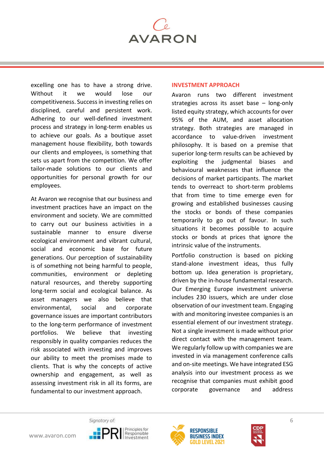

excelling one has to have a strong drive. Without it we would lose our competitiveness. Success in investing relies on disciplined, careful and persistent work. Adhering to our well-defined investment process and strategy in long-term enables us to achieve our goals. As a boutique asset management house flexibility, both towards our clients and employees, is something that sets us apart from the competition. We offer tailor-made solutions to our clients and opportunities for personal growth for our employees.

At Avaron we recognise that our business and investment practices have an impact on the environment and society. We are committed to carry out our business activities in a sustainable manner to ensure diverse ecological environment and vibrant cultural, social and economic base for future generations. Our perception of sustainability is of something not being harmful to people, communities, environment or depleting natural resources, and thereby supporting long-term social and ecological balance. As asset managers we also believe that environmental, social and corporate governance issues are important contributors to the long-term performance of investment portfolios. We believe that investing responsibly in quality companies reduces the risk associated with investing and improves our ability to meet the promises made to clients. That is why the concepts of active ownership and engagement, as well as assessing investment risk in all its forms, are fundamental to our investment approach.

#### <span id="page-5-0"></span>**INVESTMENT APPROACH**

Avaron runs two different investment strategies across its asset base – long-only listed equity strategy, which accounts for over 95% of the AUM, and asset allocation strategy. Both strategies are managed in accordance to value-driven investment philosophy. It is based on a premise that superior long-term results can be achieved by exploiting the judgmental biases and behavioural weaknesses that influence the decisions of market participants. The market tends to overreact to short-term problems that from time to time emerge even for growing and established businesses causing the stocks or bonds of these companies temporarily to go out of favour. In such situations it becomes possible to acquire stocks or bonds at prices that ignore the intrinsic value of the instruments.

Portfolio construction is based on picking stand-alone investment ideas, thus fully bottom up. Idea generation is proprietary, driven by the in-house fundamental research. Our Emerging Europe investment universe includes 230 issuers, which are under close observation of our investment team. Engaging with and monitoring investee companies is an essential element of our investment strategy. Not a single investment is made without prior direct contact with the management team. We regularly follow up with companies we are invested in via management conference calls and on-site meetings. We have integrated ESG analysis into our investment process as we recognise that companies must exhibit good corporate governance and address





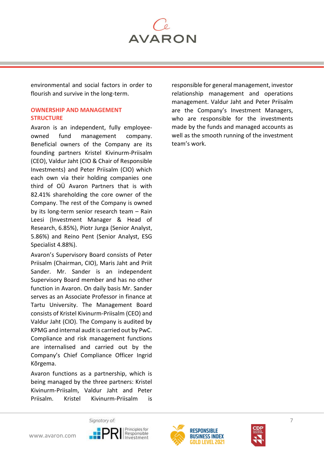**AVARON** 

environmental and social factors in order to flourish and survive in the long-term.

# <span id="page-6-0"></span>**OWNERSHIP AND MANAGEMENT STRUCTURE**

Avaron is an independent, fully employeeowned fund management company. Beneficial owners of the Company are its founding partners Kristel Kivinurm-Priisalm (CEO), Valdur Jaht (CIO & Chair of Responsible Investments) and Peter Priisalm (CIO) which each own via their holding companies one third of OÜ Avaron Partners that is with 82.41% shareholding the core owner of the Company. The rest of the Company is owned by its long-term senior research team – Rain Leesi (Investment Manager & Head of Research, 6.85%), Piotr Jurga (Senior Analyst, 5.86%) and Reino Pent (Senior Analyst, ESG Specialist 4.88%).

Avaron's Supervisory Board consists of Peter Priisalm (Chairman, CIO), Maris Jaht and Priit Sander. Mr. Sander is an independent Supervisory Board member and has no other function in Avaron. On daily basis Mr. Sander serves as an Associate Professor in finance at Tartu University. The Management Board consists of Kristel Kivinurm-Priisalm (CEO) and Valdur Jaht (CIO). The Company is audited by KPMG and internal audit is carried out by PwC. Compliance and risk management functions are internalised and carried out by the Company's Chief Compliance Officer Ingrid Kõrgema.

Avaron functions as a partnership, which is being managed by the three partners: Kristel Kivinurm-Priisalm, Valdur Jaht and Peter Priisalm. Kristel Kivinurm-Priisalm is

responsible for general management, investor relationship management and operations management. Valdur Jaht and Peter Priisalm are the Company's Investment Managers, who are responsible for the investments made by the funds and managed accounts as well as the smooth running of the investment team's work.





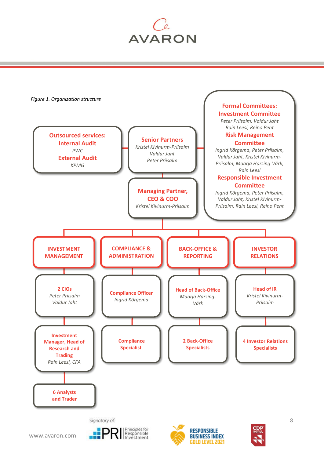







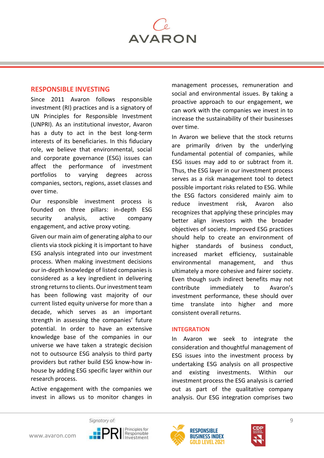

# <span id="page-8-0"></span>**RESPONSIBLE INVESTING**

Since 2011 Avaron follows responsible investment (RI) practices and is a signatory of UN Principles for Responsible Investment (UNPRI). As an institutional investor, Avaron has a duty to act in the best long-term interests of its beneficiaries. In this fiduciary role, we believe that environmental, social and corporate governance (ESG) issues can affect the performance of investment portfolios to varying degrees across companies, sectors, regions, asset classes and over time.

Our responsible investment process is founded on three pillars: in-depth ESG security analysis, active company engagement, and active proxy voting.

Given our main aim of generating alpha to our clients via stock picking it is important to have ESG analysis integrated into our investment process. When making investment decisions our in-depth knowledge of listed companies is considered as a key ingredient in delivering strong returns to clients. Our investment team has been following vast majority of our current listed equity universe for more than a decade, which serves as an important strength in assessing the companies' future potential. In order to have an extensive knowledge base of the companies in our universe we have taken a strategic decision not to outsource ESG analysis to third party providers but rather build ESG know-how inhouse by adding ESG specific layer within our research process.

Active engagement with the companies we invest in allows us to monitor changes in management processes, remuneration and social and environmental issues. By taking a proactive approach to our engagement, we can work with the companies we invest in to increase the sustainability of their businesses over time.

In Avaron we believe that the stock returns are primarily driven by the underlying fundamental potential of companies, while ESG issues may add to or subtract from it. Thus, the ESG layer in our investment process serves as a risk management tool to detect possible important risks related to ESG. While the ESG factors considered mainly aim to reduce investment risk, Avaron also recognizes that applying these principles may better align investors with the broader objectives of society. Improved ESG practices should help to create an environment of higher standards of business conduct, increased market efficiency, sustainable environmental management, and thus ultimately a more cohesive and fairer society. Even though such indirect benefits may not contribute immediately to Avaron's investment performance, these should over time translate into higher and more consistent overall returns.

#### <span id="page-8-1"></span>**INTEGRATION**

In Avaron we seek to integrate the consideration and thoughtful management of ESG issues into the investment process by undertaking ESG analysis on all prospective and existing investments. Within our investment process the ESG analysis is carried out as part of the qualitative company analysis. Our ESG integration comprises two





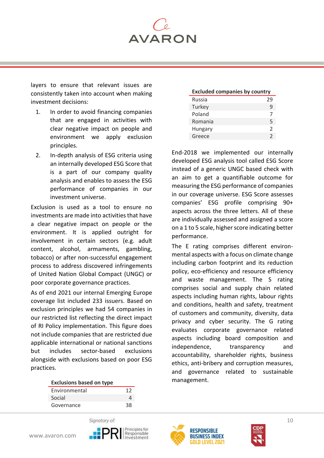**AVARON** 

layers to ensure that relevant issues are consistently taken into account when making investment decisions:

- 1. In order to avoid financing companies that are engaged in activities with clear negative impact on people and environment we apply exclusion principles.
- 2. In-depth analysis of ESG criteria using an internally developed ESG Score that is a part of our company quality analysis and enables to assess the ESG performance of companies in our investment universe.

Exclusion is used as a tool to ensure no investments are made into activities that have a clear negative impact on people or the environment. It is applied outright for involvement in certain sectors (e.g. adult content, alcohol, armaments, gambling, tobacco) or after non-successful engagement process to address discovered infringements of United Nation Global Compact (UNGC) or poor corporate governance practices.

As of end 2021 our internal Emerging Europe coverage list included 233 issuers. Based on exclusion principles we had 54 companies in our restricted list reflecting the direct impact of RI Policy implementation. This figure does not include companies that are restricted due applicable international or national sanctions but includes sector-based exclusions alongside with exclusions based on poor ESG practices.

| <b>Exclusions based on type</b> |  |  |  |
|---------------------------------|--|--|--|
|                                 |  |  |  |
|                                 |  |  |  |
| 38                              |  |  |  |
|                                 |  |  |  |

| <b>Excluded companies by country</b> |                |  |
|--------------------------------------|----------------|--|
| Russia                               | 29             |  |
| Turkey                               | ٩              |  |
| Poland                               | 7              |  |
| Romania                              | 5              |  |
| Hungary                              | $\mathfrak{D}$ |  |
| Greece                               | $\mathfrak{D}$ |  |

End-2018 we implemented our internally developed ESG analysis tool called ESG Score instead of a generic UNGC based check with an aim to get a quantifiable outcome for measuring the ESG performance of companies in our coverage universe. ESG Score assesses companies' ESG profile comprising 90+ aspects across the three letters. All of these are individually assessed and assigned a score on a 1 to 5 scale, higher score indicating better performance.

The E rating comprises different environmental aspects with a focus on climate change including carbon footprint and its reduction policy, eco-efficiency and resource efficiency and waste management. The S rating comprises social and supply chain related aspects including human rights, labour rights and conditions, health and safety, treatment of customers and community, diversity, data privacy and cyber security. The G rating evaluates corporate governance related aspects including board composition and independence, transparency and accountability, shareholder rights, business ethics, anti-bribery and corruption measures, and governance related to sustainable management.







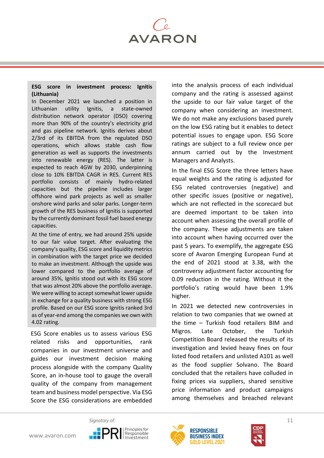

#### **ESG score in investment process: Ignitis (Lithuania)**

In December 2021 we launched a position in Lithuanian utility Ignitis, a state-owned distribution network operator (DSO) covering more than 90% of the country's electricity grid and gas pipeline network. Ignitis derives about 2/3rd of its EBITDA from the regulated DSO operations, which allows stable cash flow generation as well as supports the investments into renewable energy (RES). The latter is expected to reach 4GW by 2030, underpinning close to 10% EBITDA CAGR in RES. Current RES portfolio consists of mainly hydro-related capacities but the pipeline includes larger offshore wind park projects as well as smaller onshore wind parks and solar parks. Longer-term growth of the RES business of Ignitis is supported by the currently dominant fossil fuel based energy capacities.

At the time of entry, we had around 25% upside to our fair value target. After evaluating the company's quality, ESG score and liquidity metrics in combination with the target price we decided to make an investment. Although the upside was lower compared to the portfolio average of around 35%, Ignitis stood out with its ESG score that was almost 20% above the portfolio average. We were willing to accept somewhat lower upside in exchange for a quality business with strong ESG profile. Based on our ESG score Ignitis ranked 3rd as of year-end among the companies we own with 4.02 rating.

ESG Score enables us to assess various ESG related risks and opportunities, rank companies in our investment universe and guides our investment decision making process alongside with the company Quality Score, an in-house tool to gauge the overall quality of the company from management team and business model perspective. Via ESG Score the ESG considerations are embedded

into the analysis process of each individual company and the rating is assessed against the upside to our fair value target of the company when considering an investment. We do not make any exclusions based purely on the low ESG rating but it enables to detect potential issues to engage upon. ESG Score ratings are subject to a full review once per annum carried out by the Investment Managers and Analysts.

In the final ESG Score the three letters have equal weights and the rating is adjusted for ESG related controversies (negative) and other specific issues (positive or negative), which are not reflected in the scorecard but are deemed important to be taken into account when assessing the overall profile of the company. These adjustments are taken into account when having occurred over the past 5 years. To exemplify, the aggregate ESG score of Avaron Emerging European Fund at the end of 2021 stood at 3.38, with the controversy adjustment factor accounting for 0.09 reduction in the rating. Without it the portfolio's rating would have been 1.9% higher.

In 2021 we detected new controversies in relation to two companies that we owned at the time – Turkish food retailers BIM and Migros. Late October, the Turkish Competition Board released the results of its investigation and levied heavy fines on four listed food retailers and unlisted A101 as well as the food supplier Solvano. The Board concluded that the retailers have colluded in fixing prices via suppliers, shared sensitive price information and product campaigns among themselves and breached relevant





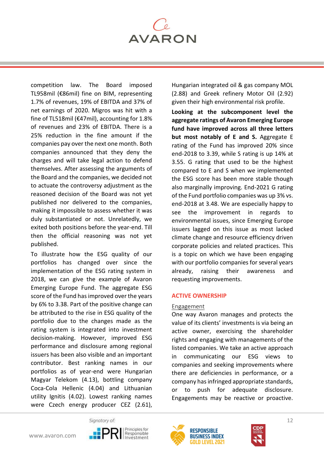

competition law. The Board imposed TL958mil (€86mil) fine on BIM, representing 1.7% of revenues, 19% of EBITDA and 37% of net earnings of 2020. Migros was hit with a fine of TL518mil (€47mil), accounting for 1.8% of revenues and 23% of EBITDA. There is a 25% reduction in the fine amount if the companies pay over the next one month. Both companies announced that they deny the charges and will take legal action to defend themselves. After assessing the arguments of the Board and the companies, we decided not to actuate the controversy adjustment as the reasoned decision of the Board was not yet published nor delivered to the companies, making it impossible to assess whether it was duly substantiated or not. Unrelatedly, we exited both positions before the year-end. Till then the official reasoning was not yet published.

To illustrate how the ESG quality of our portfolios has changed over since the implementation of the ESG rating system in 2018, we can give the example of Avaron Emerging Europe Fund. The aggregate ESG score of the Fund has improved over the years by 6% to 3.38. Part of the positive change can be attributed to the rise in ESG quality of the portfolio due to the changes made as the rating system is integrated into investment decision-making. However, improved ESG performance and disclosure among regional issuers has been also visible and an important contributor. Best ranking names in our portfolios as of year-end were Hungarian Magyar Telekom (4.13), bottling company Coca-Cola Hellenic (4.04) and Lithuanian utility Ignitis (4.02). Lowest ranking names were Czech energy producer CEZ (2.61),

Hungarian integrated oil & gas company MOL (2.88) and Greek refinery Motor Oil (2.92) given their high environmental risk profile.

**Looking at the subcomponent level the aggregate ratings of Avaron Emerging Europe fund have improved across all three letters but most notably of E and S.** Aggregate E rating of the Fund has improved 20% since end-2018 to 3.39, while S rating is up 14% at 3.55. G rating that used to be the highest compared to E and S when we implemented the ESG score has been more stable though also marginally improving. End-2021 G rating of the Fund portfolio companies was up 3% vs. end-2018 at 3.48. We are especially happy to see the improvement in regards to environmental issues, since Emerging Europe issuers lagged on this issue as most lacked climate change and resource efficiency driven corporate policies and related practices. This is a topic on which we have been engaging with our portfolio companies for several years already, raising their awareness and requesting improvements.

#### <span id="page-11-0"></span>**ACTIVE OWNERSHIP**

#### Engagement

One way Avaron manages and protects the value of its clients' investments is via being an active owner, exercising the shareholder rights and engaging with managements of the listed companies. We take an active approach in communicating our ESG views to companies and seeking improvements where there are deficiencies in performance, or a company has infringed appropriate standards, or to push for adequate disclosure. Engagements may be reactive or proactive.







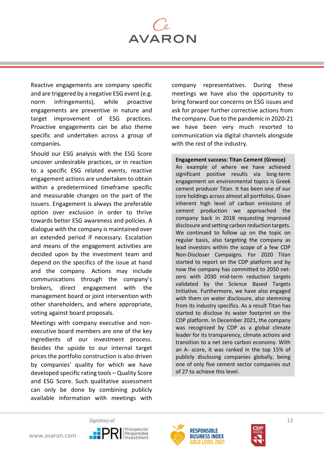

Reactive engagements are company specific and are triggered by a negative ESG event (e.g. norm infringements), while proactive engagements are preventive in nature and target improvement of ESG practices. Proactive engagements can be also theme specific and undertaken across a group of companies.

Should our ESG analysis with the ESG Score uncover undesirable practices, or in reaction to a specific ESG related events, reactive engagement actions are undertaken to obtain within a predetermined timeframe specific and measurable changes on the part of the issuers. Engagement is always the preferable option over exclusion in order to thrive towards better ESG awareness and policies. A dialogue with the company is maintained over an extended period if necessary. Escalation and means of the engagement activities are decided upon by the investment team and depend on the specifics of the issue at hand and the company. Actions may include communications through the company's brokers, direct engagement with the management board or joint intervention with other shareholders, and where appropriate, voting against board proposals.

Meetings with company executive and nonexecutive board members are one of the key ingredients of our investment process. Besides the upside to our internal target prices the portfolio construction is also driven by companies' quality for which we have developed specific rating tools – Quality Score and ESG Score. Such qualitative assessment can only be done by combining publicly available information with meetings with

company representatives. During these meetings we have also the opportunity to bring forward our concerns on ESG issues and ask for proper further corrective actions from the company. Due to the pandemic in 2020-21 we have been very much resorted to communication via digital channels alongside with the rest of the industry.

#### **Engagement success: Titan Cement (Greece)**

An example of where we have achieved significant positive results via long-term engagement on environmental topics is Greek cement producer Titan. It has been one of our core holdings across almost all portfolios. Given inherent high level of carbon emissions of cement production we approached the company back in 2018 requesting improved disclosure and setting carbon reduction targets. We continued to follow up on the topic on regular basis, also targeting the company as lead investors within the scope of a few CDP Non-Discloser Campaigns. For 2020 Titan started to report on the CDP platform and by now the company has committed to 2050 netzero with 2030 mid-term reduction targets validated by the Science Based Targets Initiative. Furthermore, we have also engaged with them on water disclosure, also stemming from its industry specifics. As a result Titan has started to disclose its water footprint on the CDP platform. In December 2021, the company was recognized by CDP as a global climate leader for its transparency, climate actions and transition to a net zero carbon economy. With an A- score, it was ranked in the top 15% of publicly disclosing companies globally, being one of only five cement sector companies out of 27 to achieve this level.





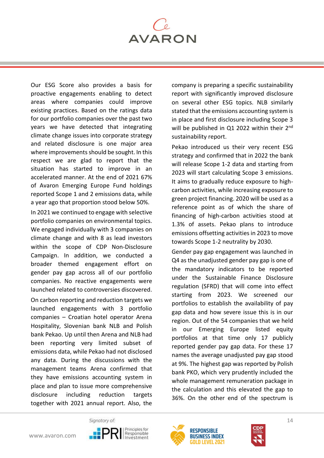

Our ESG Score also provides a basis for proactive engagements enabling to detect areas where companies could improve existing practices. Based on the ratings data for our portfolio companies over the past two years we have detected that integrating climate change issues into corporate strategy and related disclosure is one major area where improvements should be sought. In this respect we are glad to report that the situation has started to improve in an accelerated manner. At the end of 2021 67% of Avaron Emerging Europe Fund holdings reported Scope 1 and 2 emissions data, while a year ago that proportion stood below 50%.

In 2021 we continued to engage with selective portfolio companies on environmental topics. We engaged individually with 3 companies on climate change and with 8 as lead investors within the scope of CDP Non-Disclosure Campaign. In addition, we conducted a broader themed engagement effort on gender pay gap across all of our portfolio companies. No reactive engagements were launched related to controversies discovered.

On carbon reporting and reduction targets we launched engagements with 3 portfolio companies – Croatian hotel operator Arena Hospitality, Slovenian bank NLB and Polish bank Pekao. Up until then Arena and NLB had been reporting very limited subset of emissions data, while Pekao had not disclosed any data. During the discussions with the management teams Arena confirmed that they have emissions accounting system in place and plan to issue more comprehensive disclosure including reduction targets together with 2021 annual report. Also, the

company is preparing a specific sustainability report with significantly improved disclosure on several other ESG topics. NLB similarly stated that the emissions accounting system is in place and first disclosure including Scope 3 will be published in Q1 2022 within their 2<sup>nd</sup> sustainability report.

Pekao introduced us their very recent ESG strategy and confirmed that in 2022 the bank will release Scope 1-2 data and starting from 2023 will start calculating Scope 3 emissions. It aims to gradually reduce exposure to highcarbon activities, while increasing exposure to green project financing. 2020 will be used as a reference point as of which the share of financing of high-carbon activities stood at 1.3% of assets. Pekao plans to introduce emissions offsetting activities in 2023 to move towards Scope 1-2 neutrality by 2030.

Gender pay gap engagement was launched in Q4 as the unadjusted gender pay gap is one of the mandatory indicators to be reported under the Sustainable Finance Disclosure regulation (SFRD) that will come into effect starting from 2023. We screened our portfolios to establish the availability of pay gap data and how severe issue this is in our region. Out of the 54 companies that we held in our Emerging Europe listed equity portfolios at that time only 17 publicly reported gender pay gap data. For these 17 names the average unadjusted pay gap stood at 9%. The highest gap was reported by Polish bank PKO, which very prudently included the whole management remuneration package in the calculation and this elevated the gap to 36%. On the other end of the spectrum is





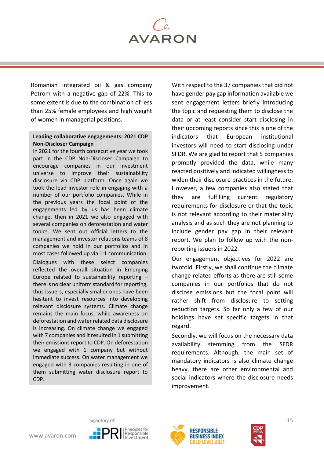

Romanian integrated oil & gas company Petrom with a negative gap of 22%. This to some extent is due to the combination of less than 25% female employees and high weight of women in managerial positions.

# **Leading collaborative engagements: 2021 CDP Non-Discloser Campaign**

In 2021 for the fourth consecutive year we took part in the CDP Non-Discloser Campaign to encourage companies in our investment universe to improve their sustainability disclosure via CDP platform. Once again we took the lead investor role in engaging with a number of our portfolio companies. While in the previous years the focal point of the engagements led by us has been climate change, then in 2021 we also engaged with several companies on deforestation and water topics. We sent out official letters to the management and investor relations teams of 8 companies we hold in our portfolios and in most cases followed up via 1:1 communication. Dialogues with these select companies reflected the overall situation in Emerging Europe related to sustainability reporting – there is no clear uniform standard for reporting, thus issuers, especially smaller ones have been hesitant to invest resources into developing relevant disclosure systems. Climate change remains the main focus, while awareness on deforestation and water related data disclosure is increasing. On climate change we engaged with 7 companies and it resulted in 1 submitting their emissions report to CDP. On deforestation we engaged with 1 company but without immediate success. On water management we engaged with 3 companies resulting in one of them submitting water disclosure report to CDP.

With respect to the 37 companies that did not have gender pay gap information available we sent engagement letters briefly introducing the topic and requesting them to disclose the data or at least consider start disclosing in their upcoming reports since this is one of the indicators that European institutional investors will need to start disclosing under SFDR. We are glad to report that 5 companies promptly provided the data, while many reacted positively and indicated willingness to widen their disclosure practices in the future. However, a few companies also stated that they are fulfilling current regulatory requirements for disclosure or that the topic is not relevant according to their materiality analysis and as such they are not planning to include gender pay gap in their relevant report. We plan to follow up with the nonreporting issuers in 2022.

Our engagement objectives for 2022 are twofold. Firstly, we shall continue the climate change related efforts as there are still some companies in our portfolios that do not disclose emissions but the focal point will rather shift from disclosure to setting reduction targets. So far only a few of our holdings have set specific targets in that regard.

Secondly, we will focus on the necessary data availability stemming from the SFDR requirements. Although, the main set of mandatory indicators is also climate change heavy, there are other environmental and social indicators where the disclosure needs improvement.





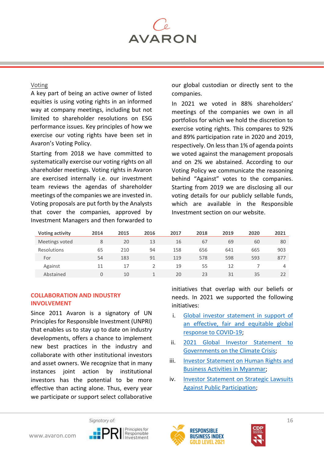

# Voting

A key part of being an active owner of listed equities is using voting rights in an informed way at company meetings, including but not limited to shareholder resolutions on ESG performance issues. Key principles of how we exercise our voting rights have been set in Avaron's Voting Policy.

Starting from 2018 we have committed to systematically exercise our voting rights on all shareholder meetings. Voting rights in Avaron are exercised internally i.e. our investment team reviews the agendas of shareholder meetings of the companies we are invested in. Voting proposals are put forth by the Analysts that cover the companies, approved by Investment Managers and then forwarded to

our global custodian or directly sent to the companies.

In 2021 we voted in 88% shareholders' meetings of the companies we own in all portfolios for which we hold the discretion to exercise voting rights. This compares to 92% and 89% participation rate in 2020 and 2019, respectively. On less than 1% of agenda points we voted against the management proposals and on 2% we abstained. According to our Voting Policy we communicate the reasoning behind "Against" votes to the companies. Starting from 2019 we are disclosing all our voting details for our publicly sellable funds, which are available in the Responsible Investment section on our website.

| <b>Voting activity</b> | 2014 | 2015 | 2016 | 2017 | 2018 | 2019 | 2020 | 2021 |
|------------------------|------|------|------|------|------|------|------|------|
| Meetings voted         | 8    | 20   | 13   | 16   | 67   | 69   | 60   | 80   |
| Resolutions            | 65   | 210  | 94   | 158  | 656  | 641  | 665  | 903  |
| For                    | 54   | 183  | 91   | 119  | 578  | 598  | 593  | 877  |
| Against                | 11   | 17   |      | 19   | 55   | 12   |      | 4    |
| Abstained              | 0    | 10   |      | 20   | 23   | 31   | 35   | 22   |

# <span id="page-15-0"></span>**COLLABORATION AND INDUSTRY INVOLVEMENT**

Since 2011 Avaron is a signatory of UN Principles for Responsible Investment (UNPRI) that enables us to stay up to date on industry developments, offers a chance to implement new best practices in the industry and collaborate with other institutional investors and asset owners. We recognize that in many instances joint action by institutional investors has the potential to be more effective than acting alone. Thus, every year we participate or support select collaborative

initiatives that overlap with our beliefs or needs. In 2021 we supported the following initiatives:

- i. [Global investor statement in support of](https://accesstomedicinefoundation.org/news/investors-issue-urgent-call-for-fair-and-equitable-global-response-to-covid-19)  an effective, [fair and equitable global](https://accesstomedicinefoundation.org/news/investors-issue-urgent-call-for-fair-and-equitable-global-response-to-covid-19)  [response to COVID-19;](https://accesstomedicinefoundation.org/news/investors-issue-urgent-call-for-fair-and-equitable-global-response-to-covid-19)
- ii. [2021 Global Investor Statement to](https://www.iigcc.org/resource/global-investor-statement-to-governments-on-the-climate-crisis-2021-update/)  [Governments on the Climate Crisis;](https://www.iigcc.org/resource/global-investor-statement-to-governments-on-the-climate-crisis-2021-update/)
- iii. [Investor Statement on Human Rights and](https://investorsforhumanrights.org/investor-statement-myanmar-human-rights-and-business-activities-supporting-military-junta)  [Business Activities in Myanmar;](https://investorsforhumanrights.org/investor-statement-myanmar-human-rights-and-business-activities-supporting-military-junta)
- iv. [Investor Statement on Strategic Lawsuits](https://investorsforhumanrights.org/investor-statement-strategic-lawsuits-against-public-participation)  [Against Public Participation;](https://investorsforhumanrights.org/investor-statement-strategic-lawsuits-against-public-participation)





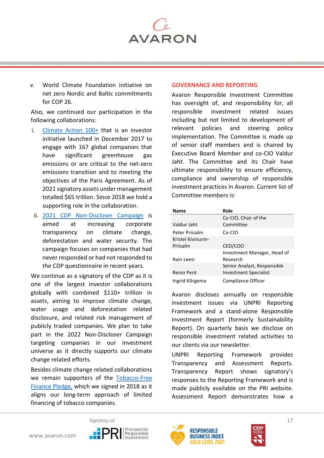

v. World Climate Foundation initiative on net zero Nordic and Baltic commitments for COP 26.

Also, we continued our participation in the following collaborations:

- i. [Climate Action 100+](https://www.climateaction100.org/) that is an investor initiative launched in December 2017 to engage with 167 global companies that have significant greenhouse gas emissions or are critical to the net-zero emissions transition and to meeting the objectives of the Paris Agreement. As of 2021 signatory assets under management totalled \$65 trillion. Since 2018 we hold a supporting role in the collaboration.
- ii. 2021 [CDP Non-Discloser Campaign](https://www.cdp.net/en/investor/engage-with-companies/non-disclosure-campaign) is aimed at increasing corporate transparency on climate change, deforestation and water security. The campaign focuses on companies that had never responded or had not responded to the CDP questionnaire in recent years.

We continue as a signatory of the CDP as it is one of the largest investor collaborations globally with combined \$110+ trillion in assets, aiming to improve climate change, water usage and deforestation related disclosure, and related risk management of publicly traded companies. We plan to take part in the 2022 Non-Discloser Campaign targeting companies in our investment universe as it directly supports our climate change related efforts.

Besides climate change related collaborations we remain supporters of the [Tobacco-Free](http://www.unepfi.org/psi/tobacco-free-finance-signatories/)  [Finance Pledge,](http://www.unepfi.org/psi/tobacco-free-finance-signatories/) which we signed in 2018 as it aligns our long-term approach of limited financing of tobacco companies.

#### <span id="page-16-0"></span>**GOVERNANCE AND REPORTING**

Avaron Responsible Investment Committee has oversight of, and responsibility for, all responsible investment related issues including but not limited to development of relevant policies and steering policy implementation. The Committee is made up of senior staff members and is chaired by Executive Board Member and co-CIO Valdur Jaht. The Committee and its Chair have ultimate responsibility to ensure efficiency, compliance and ownership of responsible investment practices in Avaron. Current list of Committee members is:

| Name              | Role                         |
|-------------------|------------------------------|
|                   | Co-CIO, Chair of the         |
| Valdur Jaht       | Committee                    |
| Peter Priisalm    | Co-CIO                       |
| Kristel Kivinurm- |                              |
| Priisalm          | CEO/COO                      |
|                   | Investment Manager, Head of  |
| Rain Leesi        | Research                     |
|                   | Senior Analyst, Responsible  |
| Reino Pent        | <b>Investment Specialist</b> |
| Ingrid Kõrgema    | Compliance Officer           |

Avaron discloses annually on responsible investment issues via UNPRI Reporting Framework and a stand-alone Responsible Investment Report (formerly Sustainability Report). On quarterly basis we disclose on responsible investment related activities to our clients via our newsletter.

UNPRI Reporting Framework provides Transparency and Assessment Reports. Transparency Report shows signatory's responses to the Reporting Framework and is made publicly available on the PRI website. Assessment Report demonstrates how a





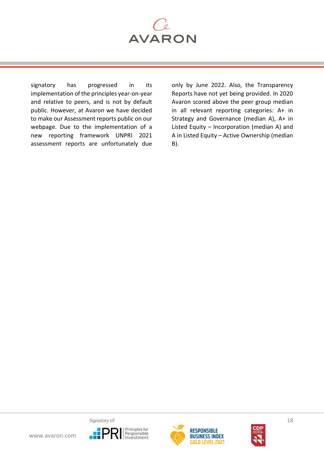

signatory has progressed in its implementation of the principles year-on-year and relative to peers, and is not by default public. However, at Avaron we have decided to make our Assessment reports public on our webpage. Due to the implementation of a new reporting framework UNPRI 2021 assessment reports are unfortunately due

only by June 2022. Also, the Transparency Reports have not yet being provided. In 2020 Avaron scored above the peer group median in all relevant reporting categories: A+ in Strategy and Governance (median A), A+ in Listed Equity – Incorporation (median A) and A in Listed Equity – Active Ownership (median B).





18